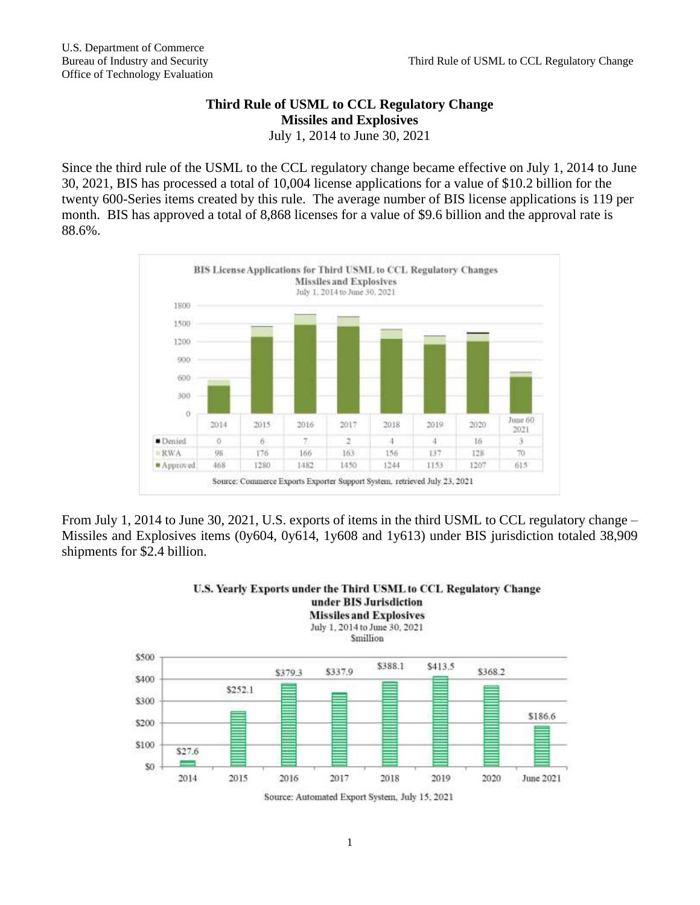## **Third Rule of USML to CCL Regulatory Change Missiles and Explosives**

July 1, 2014 to June 30, 2021

Since the third rule of the USML to the CCL regulatory change became effective on July 1, 2014 to June 30, 2021, BIS has processed a total of 10,004 license applications for a value of \$10.2 billion for the twenty 600-Series items created by this rule. The average number of BIS license applications is 119 per month. BIS has approved a total of 8,868 licenses for a value of \$9.6 billion and the approval rate is 88.6%.



From July 1, 2014 to June 30, 2021, U.S. exports of items in the third USML to CCL regulatory change – Missiles and Explosives items (0y604, 0y614, 1y608 and 1y613) under BIS jurisdiction totaled 38,909 shipments for \$2.4 billion.

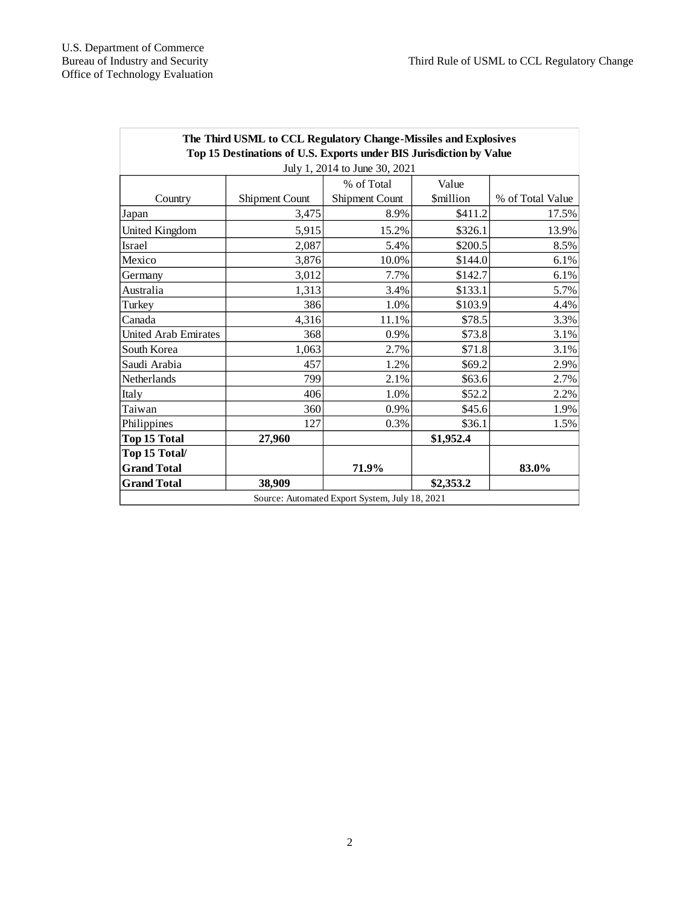| The Third USML to CCL Regulatory Change-Missiles and Explosives<br>Top 15 Destinations of U.S. Exports under BIS Jurisdiction by Value |                       |                |                 |                  |
|----------------------------------------------------------------------------------------------------------------------------------------|-----------------------|----------------|-----------------|------------------|
| July 1, 2014 to June 30, 2021                                                                                                          |                       |                |                 |                  |
|                                                                                                                                        |                       | % of Total     | Value           |                  |
| Country                                                                                                                                | <b>Shipment Count</b> | Shipment Count | <b>Smillion</b> | % of Total Value |
| Japan                                                                                                                                  | 3,475                 | 8.9%           | \$411.2         | 17.5%            |
| United Kingdom                                                                                                                         | 5,915                 | 15.2%          | \$326.1         | 13.9%            |
| <b>Israel</b>                                                                                                                          | 2,087                 | 5.4%           | \$200.5         | 8.5%             |
| Mexico                                                                                                                                 | 3,876                 | 10.0%          | \$144.0         | 6.1%             |
| Germany                                                                                                                                | 3,012                 | 7.7%           | \$142.7         | 6.1%             |
| Australia                                                                                                                              | 1,313                 | 3.4%           | \$133.1         | 5.7%             |
| Turkey                                                                                                                                 | 386                   | 1.0%           | \$103.9         | 4.4%             |
| Canada                                                                                                                                 | 4,316                 | 11.1%          | \$78.5          | 3.3%             |
| United Arab Emirates                                                                                                                   | 368                   | 0.9%           | \$73.8          | 3.1%             |
| South Korea                                                                                                                            | 1,063                 | 2.7%           | \$71.8          | 3.1%             |
| Saudi Arabia                                                                                                                           | 457                   | 1.2%           | \$69.2          | 2.9%             |
| Netherlands                                                                                                                            | 799                   | 2.1%           | \$63.6          | 2.7%             |
| Italy                                                                                                                                  | 406                   | 1.0%           | \$52.2          | 2.2%             |
| Taiwan                                                                                                                                 | 360                   | 0.9%           | \$45.6          | 1.9%             |
| Philippines                                                                                                                            | 127                   | 0.3%           | \$36.1          | 1.5%             |
| <b>Top 15 Total</b>                                                                                                                    | 27,960                |                | \$1,952.4       |                  |
| Top 15 Total/                                                                                                                          |                       |                |                 |                  |
| <b>Grand Total</b>                                                                                                                     |                       | 71.9%          |                 | 83.0%            |
| <b>Grand Total</b>                                                                                                                     | 38,909                |                | \$2,353.2       |                  |
| Source: Automated Export System, July 18, 2021                                                                                         |                       |                |                 |                  |